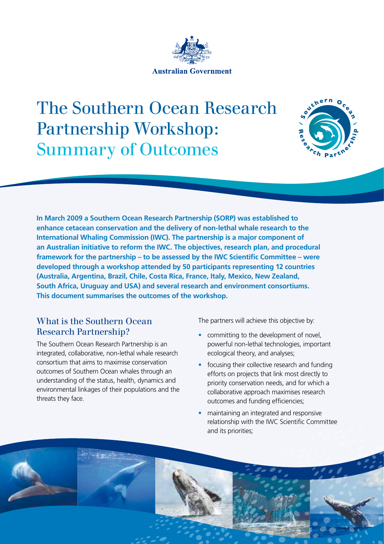

# The Southern Ocean Research Partnership Workshop: Summary of Outcomes



**In March 2009 a Southern Ocean Research Partnership (SORP) was established to enhance cetacean conservation and the delivery of non-lethal whale research to the International Whaling Commission (IWC). The partnership is a major component of an Australian initiative to reform the IWC. The objectives, research plan, and procedural framework for the partnership – to be assessed by the IWC Scientific Committee – were developed through a workshop attended by 50 participants representing 12 countries (Australia, Argentina, Brazil, Chile, Costa Rica, France, Italy, Mexico, New Zealand, South Africa, Uruguay and USA) and several research and environment consortiums. This document summarises the outcomes of the workshop.**

#### What is the Southern Ocean Research Partnership?

The Southern Ocean Research Partnership is an integrated, collaborative, non-lethal whale research consortium that aims to maximise conservation outcomes of Southern Ocean whales through an understanding of the status, health, dynamics and environmental linkages of their populations and the threats they face.

The partners will achieve this objective by:

- committing to the development of novel, powerful non-lethal technologies, important ecological theory, and analyses;
- focusing their collective research and funding efforts on projects that link most directly to priority conservation needs, and for which a collaborative approach maximises research outcomes and funding efficiencies;
- maintaining an integrated and responsive relationship with the IWC Scientific Committee and its priorities;

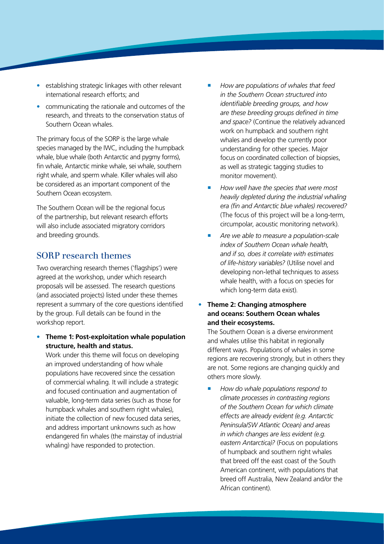- establishing strategic linkages with other relevant international research efforts; and
- communicating the rationale and outcomes of the research, and threats to the conservation status of Southern Ocean whales.

The primary focus of the SORP is the large whale species managed by the IWC, including the humpback whale, blue whale (both Antarctic and pygmy forms), fin whale, Antarctic minke whale, sei whale, southern right whale, and sperm whale. Killer whales will also be considered as an important component of the Southern Ocean ecosystem.

The Southern Ocean will be the regional focus of the partnership, but relevant research efforts will also include associated migratory corridors and breeding grounds.

#### SORP research themes

Two overarching research themes ('flagships') were agreed at the workshop, under which research proposals will be assessed. The research questions (and associated projects) listed under these themes represent a summary of the core questions identified by the group. Full details can be found in the workshop report.

**• Theme 1: Post-exploitation whale population structure, health and status.** 

Work under this theme will focus on developing an improved understanding of how whale populations have recovered since the cessation of commercial whaling. It will include a strategic and focused continuation and augmentation of valuable, long-term data series (such as those for humpback whales and southern right whales), initiate the collection of new focused data series, and address important unknowns such as how endangered fin whales (the mainstay of industrial whaling) have responded to protection.

- *How are populations of whales that feed in the Southern Ocean structured into identifiable breeding groups, and how are these breeding groups defined in time and space?* (Continue the relatively advanced work on humpback and southern right whales and develop the currently poor understanding for other species. Major focus on coordinated collection of biopsies, as well as strategic tagging studies to monitor movement).
- *How well have the species that were most heavily depleted during the industrial whaling era (fin and Antarctic blue whales) recovered?* (The focus of this project will be a long-term, circumpolar, acoustic monitoring network).
- *Are we able to measure a population-scale index of Southern Ocean whale health, and if so, does it correlate with estimates of life-history variables?* (Utilise novel and developing non-lethal techniques to assess whale health, with a focus on species for which long-term data exist).

#### **Theme 2: Changing atmosphere and oceans: Southern Ocean whales and their ecosystems.**

The Southern Ocean is a diverse environment and whales utilise this habitat in regionally different ways. Populations of whales in some regions are recovering strongly, but in others they are not. Some regions are changing quickly and others more slowly.

 *How do whale populations respond to climate processes in contrasting regions of the Southern Ocean for which climate effects are already evident (e.g. Antarctic Peninsula/SW Atlantic Ocean) and areas in which changes are less evident (e.g. eastern Antarctica)?* (Focus on populations of humpback and southern right whales that breed off the east coast of the South American continent, with populations that breed off Australia, New Zealand and/or the African continent).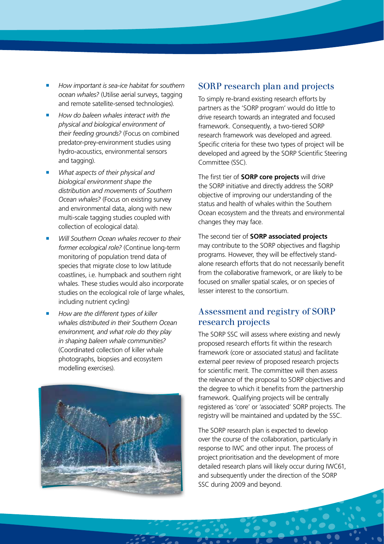- *How important is sea-ice habitat for southern ocean whales?* (Utilise aerial surveys, tagging and remote satellite-sensed technologies).
- *How do baleen whales interact with the physical and biological environment of their feeding grounds?* (Focus on combined predator-prey-environment studies using hydro-acoustics, environmental sensors and tagging).
- *What aspects of their physical and biological environment shape the distribution and movements of Southern Ocean whales?* (Focus on existing survey and environmental data, along with new multi-scale tagging studies coupled with collection of ecological data).
- *Will Southern Ocean whales recover to their former ecological role?* (Continue long-term monitoring of population trend data of species that migrate close to low latitude coastlines, i.e. humpback and southern right whales. These studies would also incorporate studies on the ecological role of large whales, including nutrient cycling)
- *How are the different types of killer whales distributed in their Southern Ocean environment, and what role do they play in shaping baleen whale communities?*  (Coordinated collection of killer whale photographs, biopsies and ecosystem modelling exercises).



#### SORP research plan and projects

To simply re-brand existing research efforts by partners as the 'SORP program' would do little to drive research towards an integrated and focused framework. Consequently, a two-tiered SORP research framework was developed and agreed. Specific criteria for these two types of project will be developed and agreed by the SORP Scientific Steering Committee (SSC).

The first tier of **SORP core projects** will drive the SORP initiative and directly address the SORP objective of improving our understanding of the status and health of whales within the Southern Ocean ecosystem and the threats and environmental changes they may face.

The second tier of **SORP associated projects** may contribute to the SORP objectives and flagship programs. However, they will be effectively standalone research efforts that do not necessarily benefit from the collaborative framework, or are likely to be focused on smaller spatial scales, or on species of lesser interest to the consortium.

#### Assessment and registry of SORP research projects

The SORP SSC will assess where existing and newly proposed research efforts fit within the research framework (core or associated status) and facilitate external peer review of proposed research projects for scientific merit. The committee will then assess the relevance of the proposal to SORP objectives and the degree to which it benefits from the partnership framework. Qualifying projects will be centrally registered as 'core' or 'associated' SORP projects. The registry will be maintained and updated by the SSC.

The SORP research plan is expected to develop over the course of the collaboration, particularly in response to IWC and other input. The process of project prioritisation and the development of more detailed research plans will likely occur during IWC61, and subsequently under the direction of the SORP SSC during 2009 and beyond.